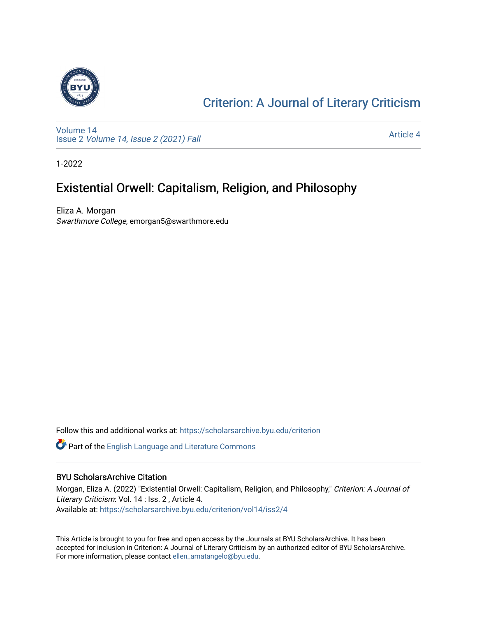

#### [Criterion: A Journal of Literary Criticism](https://scholarsarchive.byu.edu/criterion)

[Volume 14](https://scholarsarchive.byu.edu/criterion/vol14) Issue 2 [Volume 14, Issue 2 \(2021\) Fall](https://scholarsarchive.byu.edu/criterion/vol14/iss2)

[Article 4](https://scholarsarchive.byu.edu/criterion/vol14/iss2/4) 

1-2022

#### Existential Orwell: Capitalism, Religion, and Philosophy

Eliza A. Morgan Swarthmore College, emorgan5@swarthmore.edu

Follow this and additional works at: [https://scholarsarchive.byu.edu/criterion](https://scholarsarchive.byu.edu/criterion?utm_source=scholarsarchive.byu.edu%2Fcriterion%2Fvol14%2Fiss2%2F4&utm_medium=PDF&utm_campaign=PDFCoverPages) 

Part of the [English Language and Literature Commons](http://network.bepress.com/hgg/discipline/455?utm_source=scholarsarchive.byu.edu%2Fcriterion%2Fvol14%2Fiss2%2F4&utm_medium=PDF&utm_campaign=PDFCoverPages)

#### BYU ScholarsArchive Citation

Morgan, Eliza A. (2022) "Existential Orwell: Capitalism, Religion, and Philosophy," Criterion: A Journal of Literary Criticism: Vol. 14 : Iss. 2 , Article 4. Available at: [https://scholarsarchive.byu.edu/criterion/vol14/iss2/4](https://scholarsarchive.byu.edu/criterion/vol14/iss2/4?utm_source=scholarsarchive.byu.edu%2Fcriterion%2Fvol14%2Fiss2%2F4&utm_medium=PDF&utm_campaign=PDFCoverPages)

This Article is brought to you for free and open access by the Journals at BYU ScholarsArchive. It has been accepted for inclusion in Criterion: A Journal of Literary Criticism by an authorized editor of BYU ScholarsArchive. For more information, please contact [ellen\\_amatangelo@byu.edu.](mailto:ellen_amatangelo@byu.edu)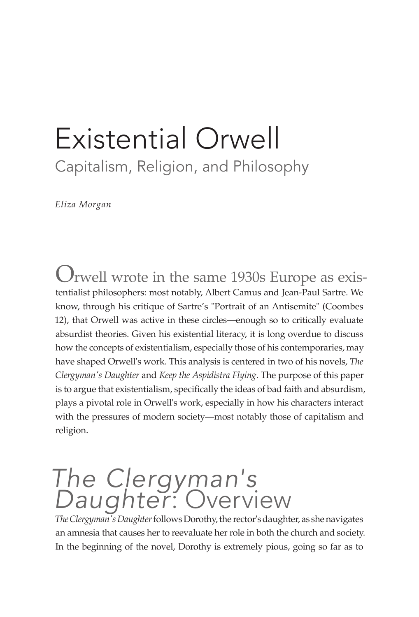### Existential Orwell Capitalism, Religion, and Philosophy

*Eliza Morgan*

Orwell wrote in the same 1930s Europe as existentialist philosophers: most notably, Albert Camus and Jean-Paul Sartre. We know, through his critique of Sartre's "Portrait of an Antisemite" (Coombes 12), that Orwell was active in these circles—enough so to critically evaluate absurdist theories. Given his existential literacy, it is long overdue to discuss how the concepts of existentialism, especially those of his contemporaries, may have shaped Orwell's work. This analysis is centered in two of his novels, *The Clergyman's Daughter* and *Keep the Aspidistra Flying*. The purpose of this paper is to argue that existentialism, specifically the ideas of bad faith and absurdism, plays a pivotal role in Orwell's work, especially in how his characters interact with the pressures of modern society—most notably those of capitalism and religion.

#### *The Clergyman's Daughter*: Overview

*The Clergyman's Daughter* follows Dorothy, the rector's daughter, as she navigates an amnesia that causes her to reevaluate her role in both the church and society. In the beginning of the novel, Dorothy is extremely pious, going so far as to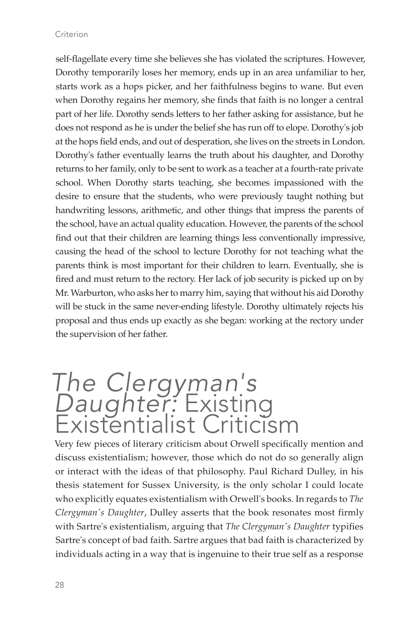#### Criterion

self-flagellate every time she believes she has violated the scriptures. However, Dorothy temporarily loses her memory, ends up in an area unfamiliar to her, starts work as a hops picker, and her faithfulness begins to wane. But even when Dorothy regains her memory, she finds that faith is no longer a central part of her life. Dorothy sends letters to her father asking for assistance, but he does not respond as he is under the belief she has run off to elope. Dorothy's job at the hops field ends, and out of desperation, she lives on the streets in London. Dorothy's father eventually learns the truth about his daughter, and Dorothy returns to her family, only to be sent to work as a teacher at a fourth-rate private school. When Dorothy starts teaching, she becomes impassioned with the desire to ensure that the students, who were previously taught nothing but handwriting lessons, arithmetic, and other things that impress the parents of the school, have an actual quality education. However, the parents of the school find out that their children are learning things less conventionally impressive, causing the head of the school to lecture Dorothy for not teaching what the parents think is most important for their children to learn. Eventually, she is fired and must return to the rectory. Her lack of job security is picked up on by Mr. Warburton, who asks her to marry him, saying that without his aid Dorothy will be stuck in the same never-ending lifestyle. Dorothy ultimately rejects his proposal and thus ends up exactly as she began: working at the rectory under the supervision of her father.

# *The Clergyman's Daughter:* Existing Existentialist Criticism

Very few pieces of literary criticism about Orwell specifically mention and discuss existentialism; however, those which do not do so generally align or interact with the ideas of that philosophy. Paul Richard Dulley, in his thesis statement for Sussex University, is the only scholar I could locate who explicitly equates existentialism with Orwell's books. In regards to *The Clergyman's Daughter*, Dulley asserts that the book resonates most firmly with Sartre's existentialism, arguing that *The Clergyman's Daughter* typifies Sartre's concept of bad faith. Sartre argues that bad faith is characterized by individuals acting in a way that is ingenuine to their true self as a response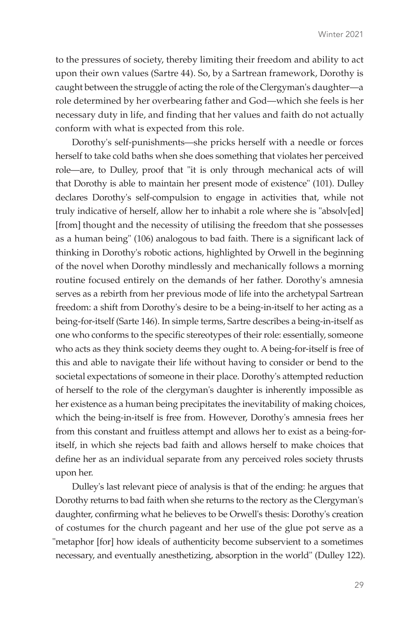to the pressures of society, thereby limiting their freedom and ability to act upon their own values (Sartre 44). So, by a Sartrean framework, Dorothy is caught between the struggle of acting the role of the Clergyman's daughter—a role determined by her overbearing father and God—which she feels is her necessary duty in life, and finding that her values and faith do not actually conform with what is expected from this role.

Dorothy's self-punishments—she pricks herself with a needle or forces herself to take cold baths when she does something that violates her perceived role—are, to Dulley, proof that "it is only through mechanical acts of will that Dorothy is able to maintain her present mode of existence" (101). Dulley declares Dorothy's self-compulsion to engage in activities that, while not truly indicative of herself, allow her to inhabit a role where she is "absolv[ed] [from] thought and the necessity of utilising the freedom that she possesses as a human being" (106) analogous to bad faith. There is a significant lack of thinking in Dorothy's robotic actions, highlighted by Orwell in the beginning of the novel when Dorothy mindlessly and mechanically follows a morning routine focused entirely on the demands of her father. Dorothy's amnesia serves as a rebirth from her previous mode of life into the archetypal Sartrean freedom: a shift from Dorothy's desire to be a being-in-itself to her acting as a being-for-itself (Sarte 146). In simple terms, Sartre describes a being-in-itself as one who conforms to the specific stereotypes of their role: essentially, someone who acts as they think society deems they ought to. A being-for-itself is free of this and able to navigate their life without having to consider or bend to the societal expectations of someone in their place. Dorothy's attempted reduction of herself to the role of the clergyman's daughter is inherently impossible as her existence as a human being precipitates the inevitability of making choices, which the being-in-itself is free from. However, Dorothy's amnesia frees her from this constant and fruitless attempt and allows her to exist as a being-foritself, in which she rejects bad faith and allows herself to make choices that define her as an individual separate from any perceived roles society thrusts upon her.

Dulley's last relevant piece of analysis is that of the ending: he argues that Dorothy returns to bad faith when she returns to the rectory as the Clergyman's daughter, confirming what he believes to be Orwell's thesis: Dorothy's creation of costumes for the church pageant and her use of the glue pot serve as a "metaphor [for] how ideals of authenticity become subservient to a sometimes necessary, and eventually anesthetizing, absorption in the world" (Dulley 122).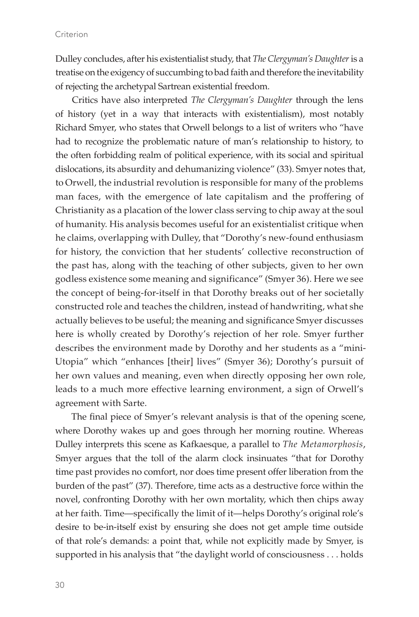Dulley concludes, after his existentialist study, that *The Clergyman's Daughter* is a treatise on the exigency of succumbing to bad faith and therefore the inevitability of rejecting the archetypal Sartrean existential freedom.

Critics have also interpreted *The Clergyman's Daughter* through the lens of history (yet in a way that interacts with existentialism), most notably Richard Smyer, who states that Orwell belongs to a list of writers who "have had to recognize the problematic nature of man's relationship to history, to the often forbidding realm of political experience, with its social and spiritual dislocations, its absurdity and dehumanizing violence" (33). Smyer notes that, to Orwell, the industrial revolution is responsible for many of the problems man faces, with the emergence of late capitalism and the proffering of Christianity as a placation of the lower class serving to chip away at the soul of humanity. His analysis becomes useful for an existentialist critique when he claims, overlapping with Dulley, that "Dorothy's new-found enthusiasm for history, the conviction that her students' collective reconstruction of the past has, along with the teaching of other subjects, given to her own godless existence some meaning and significance" (Smyer 36). Here we see the concept of being-for-itself in that Dorothy breaks out of her societally constructed role and teaches the children, instead of handwriting, what she actually believes to be useful; the meaning and significance Smyer discusses here is wholly created by Dorothy's rejection of her role. Smyer further describes the environment made by Dorothy and her students as a "mini-Utopia" which "enhances [their] lives" (Smyer 36); Dorothy's pursuit of her own values and meaning, even when directly opposing her own role, leads to a much more effective learning environment, a sign of Orwell's agreement with Sarte.

The final piece of Smyer's relevant analysis is that of the opening scene, where Dorothy wakes up and goes through her morning routine. Whereas Dulley interprets this scene as Kafkaesque, a parallel to *The Metamorphosis*, Smyer argues that the toll of the alarm clock insinuates "that for Dorothy time past provides no comfort, nor does time present offer liberation from the burden of the past" (37). Therefore, time acts as a destructive force within the novel, confronting Dorothy with her own mortality, which then chips away at her faith. Time—specifically the limit of it—helps Dorothy's original role's desire to be-in-itself exist by ensuring she does not get ample time outside of that role's demands: a point that, while not explicitly made by Smyer, is supported in his analysis that "the daylight world of consciousness . . . holds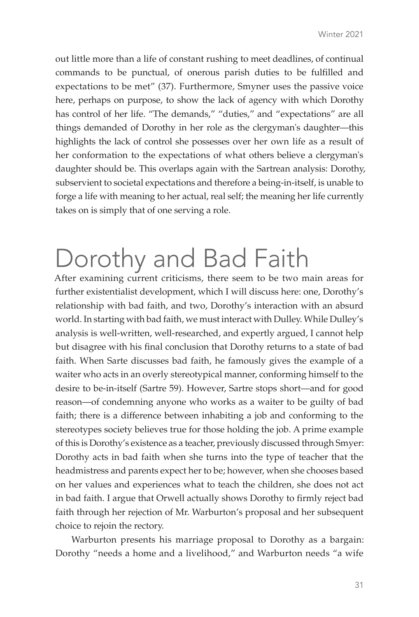out little more than a life of constant rushing to meet deadlines, of continual commands to be punctual, of onerous parish duties to be fulfilled and expectations to be met" (37). Furthermore, Smyner uses the passive voice here, perhaps on purpose, to show the lack of agency with which Dorothy has control of her life. "The demands," "duties," and "expectations" are all things demanded of Dorothy in her role as the clergyman's daughter—this highlights the lack of control she possesses over her own life as a result of her conformation to the expectations of what others believe a clergyman's daughter should be. This overlaps again with the Sartrean analysis: Dorothy, subservient to societal expectations and therefore a being-in-itself, is unable to forge a life with meaning to her actual, real self; the meaning her life currently takes on is simply that of one serving a role.

## Dorothy and Bad Faith

After examining current criticisms, there seem to be two main areas for further existentialist development, which I will discuss here: one, Dorothy's relationship with bad faith, and two, Dorothy's interaction with an absurd world. In starting with bad faith, we must interact with Dulley. While Dulley's analysis is well-written, well-researched, and expertly argued, I cannot help but disagree with his final conclusion that Dorothy returns to a state of bad faith. When Sarte discusses bad faith, he famously gives the example of a waiter who acts in an overly stereotypical manner, conforming himself to the desire to be-in-itself (Sartre 59). However, Sartre stops short—and for good reason—of condemning anyone who works as a waiter to be guilty of bad faith; there is a difference between inhabiting a job and conforming to the stereotypes society believes true for those holding the job. A prime example of this is Dorothy's existence as a teacher, previously discussed through Smyer: Dorothy acts in bad faith when she turns into the type of teacher that the headmistress and parents expect her to be; however, when she chooses based on her values and experiences what to teach the children, she does not act in bad faith. I argue that Orwell actually shows Dorothy to firmly reject bad faith through her rejection of Mr. Warburton's proposal and her subsequent choice to rejoin the rectory.

Warburton presents his marriage proposal to Dorothy as a bargain: Dorothy "needs a home and a livelihood," and Warburton needs "a wife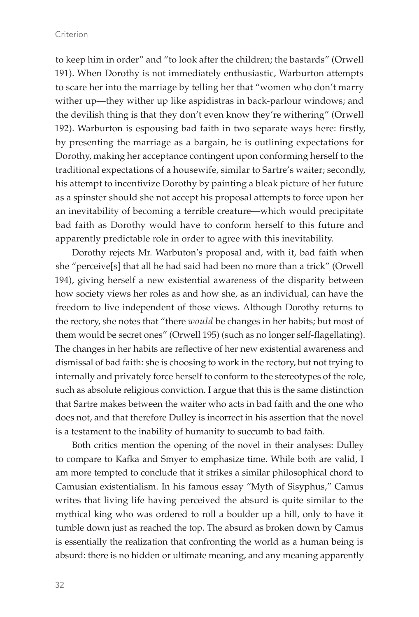to keep him in order" and "to look after the children; the bastards" (Orwell 191). When Dorothy is not immediately enthusiastic, Warburton attempts to scare her into the marriage by telling her that "women who don't marry wither up—they wither up like aspidistras in back-parlour windows; and the devilish thing is that they don't even know they're withering" (Orwell 192). Warburton is espousing bad faith in two separate ways here: firstly, by presenting the marriage as a bargain, he is outlining expectations for Dorothy, making her acceptance contingent upon conforming herself to the traditional expectations of a housewife, similar to Sartre's waiter; secondly, his attempt to incentivize Dorothy by painting a bleak picture of her future as a spinster should she not accept his proposal attempts to force upon her an inevitability of becoming a terrible creature—which would precipitate bad faith as Dorothy would have to conform herself to this future and apparently predictable role in order to agree with this inevitability.

Dorothy rejects Mr. Warbuton's proposal and, with it, bad faith when she "perceive[s] that all he had said had been no more than a trick" (Orwell 194), giving herself a new existential awareness of the disparity between how society views her roles as and how she, as an individual, can have the freedom to live independent of those views. Although Dorothy returns to the rectory, she notes that "there *would* be changes in her habits; but most of them would be secret ones" (Orwell 195) (such as no longer self-flagellating). The changes in her habits are reflective of her new existential awareness and dismissal of bad faith: she is choosing to work in the rectory, but not trying to internally and privately force herself to conform to the stereotypes of the role, such as absolute religious conviction. I argue that this is the same distinction that Sartre makes between the waiter who acts in bad faith and the one who does not, and that therefore Dulley is incorrect in his assertion that the novel is a testament to the inability of humanity to succumb to bad faith.

Both critics mention the opening of the novel in their analyses: Dulley to compare to Kafka and Smyer to emphasize time. While both are valid, I am more tempted to conclude that it strikes a similar philosophical chord to Camusian existentialism. In his famous essay "Myth of Sisyphus," Camus writes that living life having perceived the absurd is quite similar to the mythical king who was ordered to roll a boulder up a hill, only to have it tumble down just as reached the top. The absurd as broken down by Camus is essentially the realization that confronting the world as a human being is absurd: there is no hidden or ultimate meaning, and any meaning apparently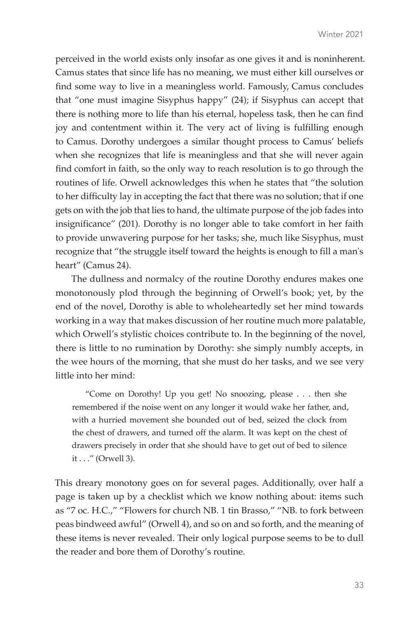perceived in the world exists only insofar as one gives it and is noninherent. Camus states that since life has no meaning, we must either kill ourselves or find some way to live in a meaningless world. Famously, Camus concludes that "one must imagine Sisyphus happy" (24); if Sisyphus can accept that there is nothing more to life than his eternal, hopeless task, then he can find joy and contentment within it. The very act of living is fulfilling enough to Camus. Dorothy undergoes a similar thought process to Camus' beliefs when she recognizes that life is meaningless and that she will never again find comfort in faith, so the only way to reach resolution is to go through the routines of life. Orwell acknowledges this when he states that "the solution to her difficulty lay in accepting the fact that there was no solution; that if one gets on with the job that lies to hand, the ultimate purpose of the job fades into insignificance" (201). Dorothy is no longer able to take comfort in her faith to provide unwavering purpose for her tasks; she, much like Sisyphus, must recognize that "the struggle itself toward the heights is enough to fill a man's heart" (Camus 24).

The dullness and normalcy of the routine Dorothy endures makes one monotonously plod through the beginning of Orwell's book; yet, by the end of the novel, Dorothy is able to wholeheartedly set her mind towards working in a way that makes discussion of her routine much more palatable, which Orwell's stylistic choices contribute to. In the beginning of the novel, there is little to no rumination by Dorothy: she simply numbly accepts, in the wee hours of the morning, that she must do her tasks, and we see very little into her mind:

"Come on Dorothy! Up you get! No snoozing, please . . . then she remembered if the noise went on any longer it would wake her father, and, with a hurried movement she bounded out of bed, seized the clock from the chest of drawers, and turned off the alarm. It was kept on the chest of drawers precisely in order that she should have to get out of bed to silence it . . ." (Orwell 3).

This dreary monotony goes on for several pages. Additionally, over half a page is taken up by a checklist which we know nothing about: items such as "7 oc. H.C.," "Flowers for church NB. 1 tin Brasso," "NB. to fork between peas bindweed awful" (Orwell 4), and so on and so forth, and the meaning of these items is never revealed. Their only logical purpose seems to be to dull the reader and bore them of Dorothy's routine.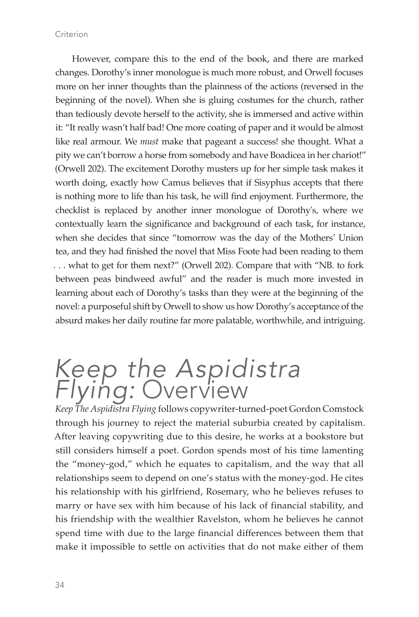However, compare this to the end of the book, and there are marked changes. Dorothy's inner monologue is much more robust, and Orwell focuses more on her inner thoughts than the plainness of the actions (reversed in the beginning of the novel). When she is gluing costumes for the church, rather than tediously devote herself to the activity, she is immersed and active within it: "It really wasn't half bad! One more coating of paper and it would be almost like real armour. We *must* make that pageant a success! she thought. What a pity we can't borrow a horse from somebody and have Boadicea in her chariot!" (Orwell 202). The excitement Dorothy musters up for her simple task makes it worth doing, exactly how Camus believes that if Sisyphus accepts that there is nothing more to life than his task, he will find enjoyment. Furthermore, the checklist is replaced by another inner monologue of Dorothy's, where we contextually learn the significance and background of each task, for instance, when she decides that since "tomorrow was the day of the Mothers' Union tea, and they had finished the novel that Miss Foote had been reading to them . . . what to get for them next?" (Orwell 202). Compare that with "NB. to fork between peas bindweed awful" and the reader is much more invested in learning about each of Dorothy's tasks than they were at the beginning of the novel: a purposeful shift by Orwell to show us how Dorothy's acceptance of the absurd makes her daily routine far more palatable, worthwhile, and intriguing.

#### *Keep the Aspidistra Flying:* Overview

*Keep The Aspidistra Flying* follows copywriter-turned-poet Gordon Comstock through his journey to reject the material suburbia created by capitalism. After leaving copywriting due to this desire, he works at a bookstore but still considers himself a poet. Gordon spends most of his time lamenting the "money-god," which he equates to capitalism, and the way that all relationships seem to depend on one's status with the money-god. He cites his relationship with his girlfriend, Rosemary, who he believes refuses to marry or have sex with him because of his lack of financial stability, and his friendship with the wealthier Ravelston, whom he believes he cannot spend time with due to the large financial differences between them that make it impossible to settle on activities that do not make either of them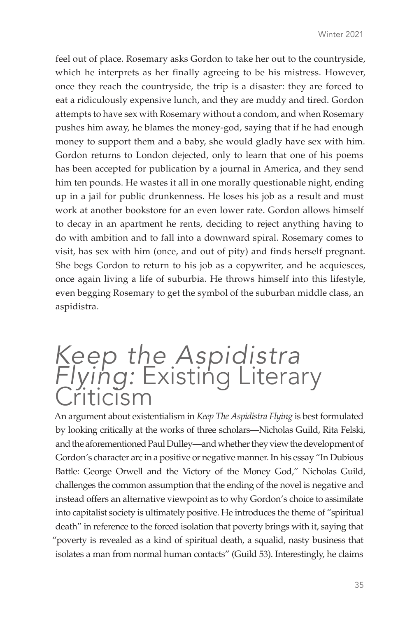feel out of place. Rosemary asks Gordon to take her out to the countryside, which he interprets as her finally agreeing to be his mistress. However, once they reach the countryside, the trip is a disaster: they are forced to eat a ridiculously expensive lunch, and they are muddy and tired. Gordon attempts to have sex with Rosemary without a condom, and when Rosemary pushes him away, he blames the money-god, saying that if he had enough money to support them and a baby, she would gladly have sex with him. Gordon returns to London dejected, only to learn that one of his poems has been accepted for publication by a journal in America, and they send him ten pounds. He wastes it all in one morally questionable night, ending up in a jail for public drunkenness. He loses his job as a result and must work at another bookstore for an even lower rate. Gordon allows himself to decay in an apartment he rents, deciding to reject anything having to do with ambition and to fall into a downward spiral. Rosemary comes to visit, has sex with him (once, and out of pity) and finds herself pregnant. She begs Gordon to return to his job as a copywriter, and he acquiesces, once again living a life of suburbia. He throws himself into this lifestyle, even begging Rosemary to get the symbol of the suburban middle class, an aspidistra.

# *Keep the Aspidistra Flying:* Existing Literary Criticism

An argument about existentialism in *Keep The Aspidistra Flying* is best formulated by looking critically at the works of three scholars—Nicholas Guild, Rita Felski, and the aforementioned Paul Dulley—and whether they view the development of Gordon's character arc in a positive or negative manner. In his essay "In Dubious Battle: George Orwell and the Victory of the Money God," Nicholas Guild, challenges the common assumption that the ending of the novel is negative and instead offers an alternative viewpoint as to why Gordon's choice to assimilate into capitalist society is ultimately positive. He introduces the theme of "spiritual death" in reference to the forced isolation that poverty brings with it, saying that "poverty is revealed as a kind of spiritual death, a squalid, nasty business that isolates a man from normal human contacts" (Guild 53). Interestingly, he claims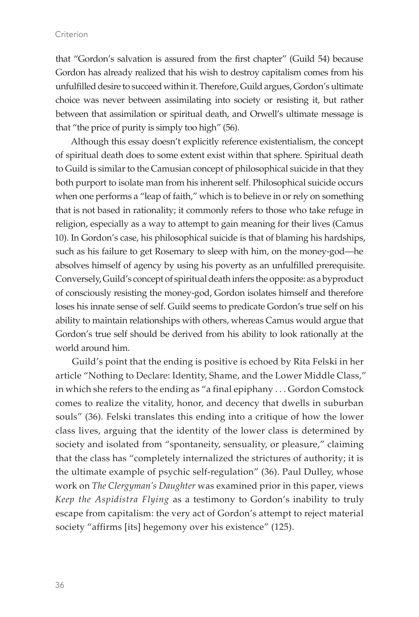#### Criterion

that "Gordon's salvation is assured from the first chapter" (Guild 54) because Gordon has already realized that his wish to destroy capitalism comes from his unfulfilled desire to succeed within it. Therefore, Guild argues, Gordon's ultimate choice was never between assimilating into society or resisting it, but rather between that assimilation or spiritual death, and Orwell's ultimate message is that "the price of purity is simply too high" (56).

Although this essay doesn't explicitly reference existentialism, the concept of spiritual death does to some extent exist within that sphere. Spiritual death to Guild is similar to the Camusian concept of philosophical suicide in that they both purport to isolate man from his inherent self. Philosophical suicide occurs when one performs a "leap of faith," which is to believe in or rely on something that is not based in rationality; it commonly refers to those who take refuge in religion, especially as a way to attempt to gain meaning for their lives (Camus 10). In Gordon's case, his philosophical suicide is that of blaming his hardships, such as his failure to get Rosemary to sleep with him, on the money-god—he absolves himself of agency by using his poverty as an unfulfilled prerequisite. Conversely, Guild's concept of spiritual death infers the opposite: as a byproduct of consciously resisting the money-god, Gordon isolates himself and therefore loses his innate sense of self. Guild seems to predicate Gordon's true self on his ability to maintain relationships with others, whereas Camus would argue that Gordon's true self should be derived from his ability to look rationally at the world around him.

Guild's point that the ending is positive is echoed by Rita Felski in her article "Nothing to Declare: Identity, Shame, and the Lower Middle Class," in which she refers to the ending as "a final epiphany . . . Gordon Comstock comes to realize the vitality, honor, and decency that dwells in suburban souls" (36). Felski translates this ending into a critique of how the lower class lives, arguing that the identity of the lower class is determined by society and isolated from "spontaneity, sensuality, or pleasure," claiming that the class has "completely internalized the strictures of authority; it is the ultimate example of psychic self-regulation" (36). Paul Dulley, whose work on *The Clergyman's Daughter* was examined prior in this paper, views *Keep the Aspidistra Flying* as a testimony to Gordon's inability to truly escape from capitalism: the very act of Gordon's attempt to reject material society "affirms [its] hegemony over his existence" (125).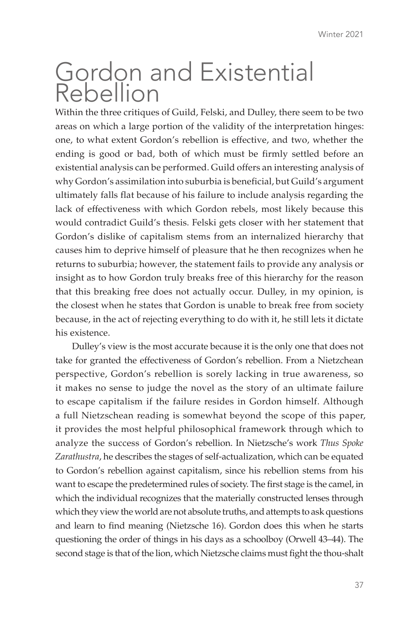### Gordon and Existential Rebellion

Within the three critiques of Guild, Felski, and Dulley, there seem to be two areas on which a large portion of the validity of the interpretation hinges: one, to what extent Gordon's rebellion is effective, and two, whether the ending is good or bad, both of which must be firmly settled before an existential analysis can be performed. Guild offers an interesting analysis of why Gordon's assimilation into suburbia is beneficial, but Guild's argument ultimately falls flat because of his failure to include analysis regarding the lack of effectiveness with which Gordon rebels, most likely because this would contradict Guild's thesis. Felski gets closer with her statement that Gordon's dislike of capitalism stems from an internalized hierarchy that causes him to deprive himself of pleasure that he then recognizes when he returns to suburbia; however, the statement fails to provide any analysis or insight as to how Gordon truly breaks free of this hierarchy for the reason that this breaking free does not actually occur. Dulley, in my opinion, is the closest when he states that Gordon is unable to break free from society because, in the act of rejecting everything to do with it, he still lets it dictate his existence.

Dulley's view is the most accurate because it is the only one that does not take for granted the effectiveness of Gordon's rebellion. From a Nietzchean perspective, Gordon's rebellion is sorely lacking in true awareness, so it makes no sense to judge the novel as the story of an ultimate failure to escape capitalism if the failure resides in Gordon himself. Although a full Nietzschean reading is somewhat beyond the scope of this paper, it provides the most helpful philosophical framework through which to analyze the success of Gordon's rebellion. In Nietzsche's work *Thus Spoke Zarathustra*, he describes the stages of self-actualization, which can be equated to Gordon's rebellion against capitalism, since his rebellion stems from his want to escape the predetermined rules of society. The first stage is the camel, in which the individual recognizes that the materially constructed lenses through which they view the world are not absolute truths, and attempts to ask questions and learn to find meaning (Nietzsche 16). Gordon does this when he starts questioning the order of things in his days as a schoolboy (Orwell 43–44). The second stage is that of the lion, which Nietzsche claims must fight the thou-shalt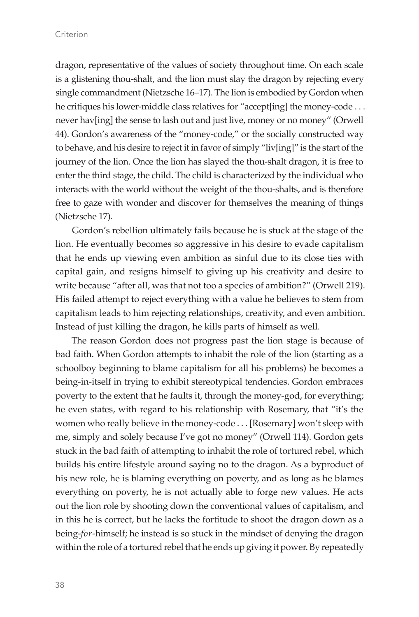dragon, representative of the values of society throughout time. On each scale is a glistening thou-shalt, and the lion must slay the dragon by rejecting every single commandment (Nietzsche 16–17). The lion is embodied by Gordon when he critiques his lower-middle class relatives for "accept[ing] the money-code . . . never hav[ing] the sense to lash out and just live, money or no money" (Orwell 44). Gordon's awareness of the "money-code," or the socially constructed way to behave, and his desire to reject it in favor of simply "liv[ing]" is the start of the journey of the lion. Once the lion has slayed the thou-shalt dragon, it is free to enter the third stage, the child. The child is characterized by the individual who interacts with the world without the weight of the thou-shalts, and is therefore free to gaze with wonder and discover for themselves the meaning of things (Nietzsche 17).

Gordon's rebellion ultimately fails because he is stuck at the stage of the lion. He eventually becomes so aggressive in his desire to evade capitalism that he ends up viewing even ambition as sinful due to its close ties with capital gain, and resigns himself to giving up his creativity and desire to write because "after all, was that not too a species of ambition?" (Orwell 219). His failed attempt to reject everything with a value he believes to stem from capitalism leads to him rejecting relationships, creativity, and even ambition. Instead of just killing the dragon, he kills parts of himself as well.

The reason Gordon does not progress past the lion stage is because of bad faith. When Gordon attempts to inhabit the role of the lion (starting as a schoolboy beginning to blame capitalism for all his problems) he becomes a being-in-itself in trying to exhibit stereotypical tendencies. Gordon embraces poverty to the extent that he faults it, through the money-god, for everything; he even states, with regard to his relationship with Rosemary, that "it's the women who really believe in the money-code . . . [Rosemary] won't sleep with me, simply and solely because I've got no money" (Orwell 114). Gordon gets stuck in the bad faith of attempting to inhabit the role of tortured rebel, which builds his entire lifestyle around saying no to the dragon. As a byproduct of his new role, he is blaming everything on poverty, and as long as he blames everything on poverty, he is not actually able to forge new values. He acts out the lion role by shooting down the conventional values of capitalism, and in this he is correct, but he lacks the fortitude to shoot the dragon down as a being-*for*-himself; he instead is so stuck in the mindset of denying the dragon within the role of a tortured rebel that he ends up giving it power. By repeatedly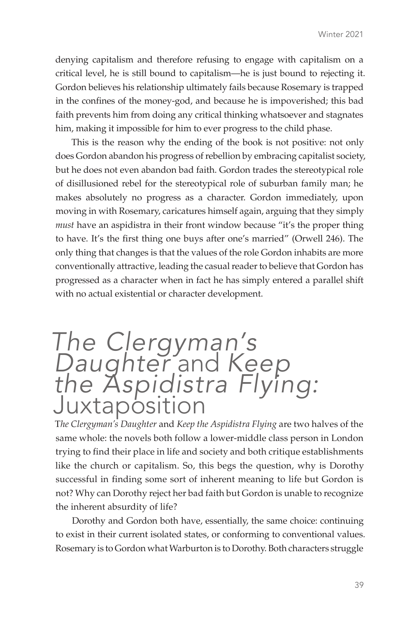denying capitalism and therefore refusing to engage with capitalism on a critical level, he is still bound to capitalism—he is just bound to rejecting it. Gordon believes his relationship ultimately fails because Rosemary is trapped in the confines of the money-god, and because he is impoverished; this bad faith prevents him from doing any critical thinking whatsoever and stagnates him, making it impossible for him to ever progress to the child phase.

This is the reason why the ending of the book is not positive: not only does Gordon abandon his progress of rebellion by embracing capitalist society, but he does not even abandon bad faith. Gordon trades the stereotypical role of disillusioned rebel for the stereotypical role of suburban family man; he makes absolutely no progress as a character. Gordon immediately, upon moving in with Rosemary, caricatures himself again, arguing that they simply *must* have an aspidistra in their front window because "it's the proper thing to have. It's the first thing one buys after one's married" (Orwell 246). The only thing that changes is that the values of the role Gordon inhabits are more conventionally attractive, leading the casual reader to believe that Gordon has progressed as a character when in fact he has simply entered a parallel shift with no actual existential or character development.

## *The Clergyman's Daughter* and *Keep the Aspidistra Flying:* **Juxtaposition**

T*he Clergyman's Daughter* and *Keep the Aspidistra Flying* are two halves of the same whole: the novels both follow a lower-middle class person in London trying to find their place in life and society and both critique establishments like the church or capitalism. So, this begs the question, why is Dorothy successful in finding some sort of inherent meaning to life but Gordon is not? Why can Dorothy reject her bad faith but Gordon is unable to recognize the inherent absurdity of life?

Dorothy and Gordon both have, essentially, the same choice: continuing to exist in their current isolated states, or conforming to conventional values. Rosemary is to Gordon what Warburton is to Dorothy. Both characters struggle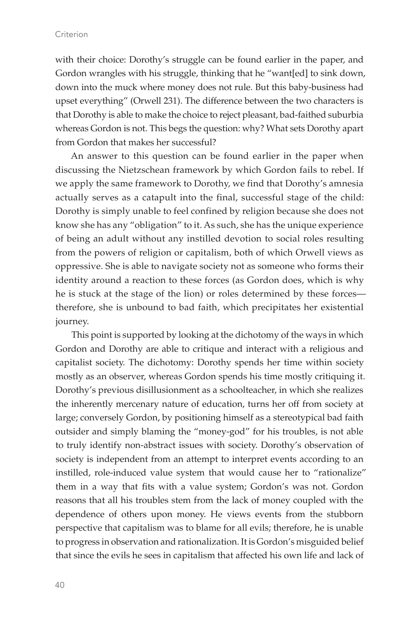with their choice: Dorothy's struggle can be found earlier in the paper, and Gordon wrangles with his struggle, thinking that he "want[ed] to sink down, down into the muck where money does not rule. But this baby-business had upset everything" (Orwell 231). The difference between the two characters is that Dorothy is able to make the choice to reject pleasant, bad-faithed suburbia whereas Gordon is not. This begs the question: why? What sets Dorothy apart from Gordon that makes her successful?

An answer to this question can be found earlier in the paper when discussing the Nietzschean framework by which Gordon fails to rebel. If we apply the same framework to Dorothy, we find that Dorothy's amnesia actually serves as a catapult into the final, successful stage of the child: Dorothy is simply unable to feel confined by religion because she does not know she has any "obligation" to it. As such, she has the unique experience of being an adult without any instilled devotion to social roles resulting from the powers of religion or capitalism, both of which Orwell views as oppressive. She is able to navigate society not as someone who forms their identity around a reaction to these forces (as Gordon does, which is why he is stuck at the stage of the lion) or roles determined by these forces therefore, she is unbound to bad faith, which precipitates her existential journey.

This point is supported by looking at the dichotomy of the ways in which Gordon and Dorothy are able to critique and interact with a religious and capitalist society. The dichotomy: Dorothy spends her time within society mostly as an observer, whereas Gordon spends his time mostly critiquing it. Dorothy's previous disillusionment as a schoolteacher, in which she realizes the inherently mercenary nature of education, turns her off from society at large; conversely Gordon, by positioning himself as a stereotypical bad faith outsider and simply blaming the "money-god" for his troubles, is not able to truly identify non-abstract issues with society. Dorothy's observation of society is independent from an attempt to interpret events according to an instilled, role-induced value system that would cause her to "rationalize" them in a way that fits with a value system; Gordon's was not. Gordon reasons that all his troubles stem from the lack of money coupled with the dependence of others upon money. He views events from the stubborn perspective that capitalism was to blame for all evils; therefore, he is unable to progress in observation and rationalization. It is Gordon's misguided belief that since the evils he sees in capitalism that affected his own life and lack of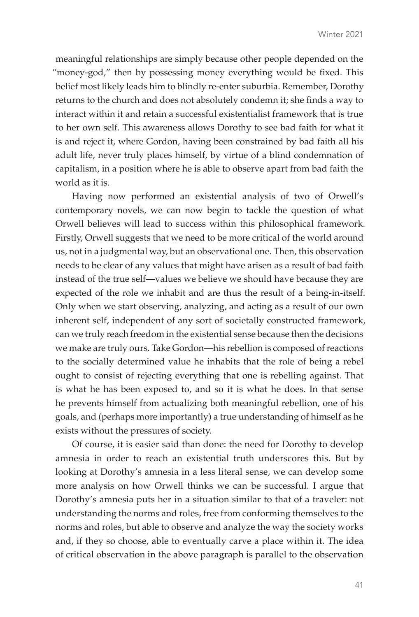meaningful relationships are simply because other people depended on the "money-god," then by possessing money everything would be fixed. This belief most likely leads him to blindly re-enter suburbia. Remember, Dorothy returns to the church and does not absolutely condemn it; she finds a way to interact within it and retain a successful existentialist framework that is true to her own self. This awareness allows Dorothy to see bad faith for what it is and reject it, where Gordon, having been constrained by bad faith all his adult life, never truly places himself, by virtue of a blind condemnation of capitalism, in a position where he is able to observe apart from bad faith the world as it is.

Having now performed an existential analysis of two of Orwell's contemporary novels, we can now begin to tackle the question of what Orwell believes will lead to success within this philosophical framework. Firstly, Orwell suggests that we need to be more critical of the world around us, not in a judgmental way, but an observational one. Then, this observation needs to be clear of any values that might have arisen as a result of bad faith instead of the true self—values we believe we should have because they are expected of the role we inhabit and are thus the result of a being-in-itself. Only when we start observing, analyzing, and acting as a result of our own inherent self, independent of any sort of societally constructed framework, can we truly reach freedom in the existential sense because then the decisions we make are truly ours. Take Gordon—his rebellion is composed of reactions to the socially determined value he inhabits that the role of being a rebel ought to consist of rejecting everything that one is rebelling against. That is what he has been exposed to, and so it is what he does. In that sense he prevents himself from actualizing both meaningful rebellion, one of his goals, and (perhaps more importantly) a true understanding of himself as he exists without the pressures of society.

Of course, it is easier said than done: the need for Dorothy to develop amnesia in order to reach an existential truth underscores this. But by looking at Dorothy's amnesia in a less literal sense, we can develop some more analysis on how Orwell thinks we can be successful. I argue that Dorothy's amnesia puts her in a situation similar to that of a traveler: not understanding the norms and roles, free from conforming themselves to the norms and roles, but able to observe and analyze the way the society works and, if they so choose, able to eventually carve a place within it. The idea of critical observation in the above paragraph is parallel to the observation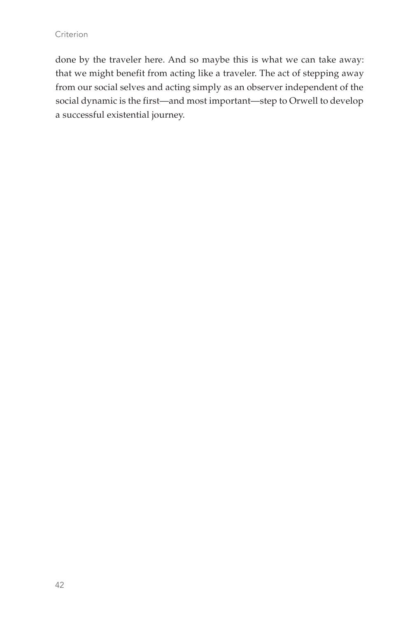done by the traveler here. And so maybe this is what we can take away: that we might benefit from acting like a traveler. The act of stepping away from our social selves and acting simply as an observer independent of the social dynamic is the first—and most important—step to Orwell to develop a successful existential journey.